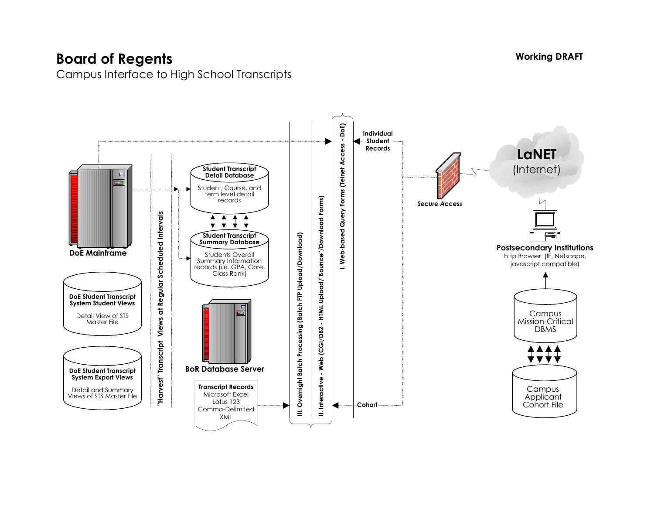## **Board of Regents**

Campus Interface to High School Transcripts



**Working DRAFT**